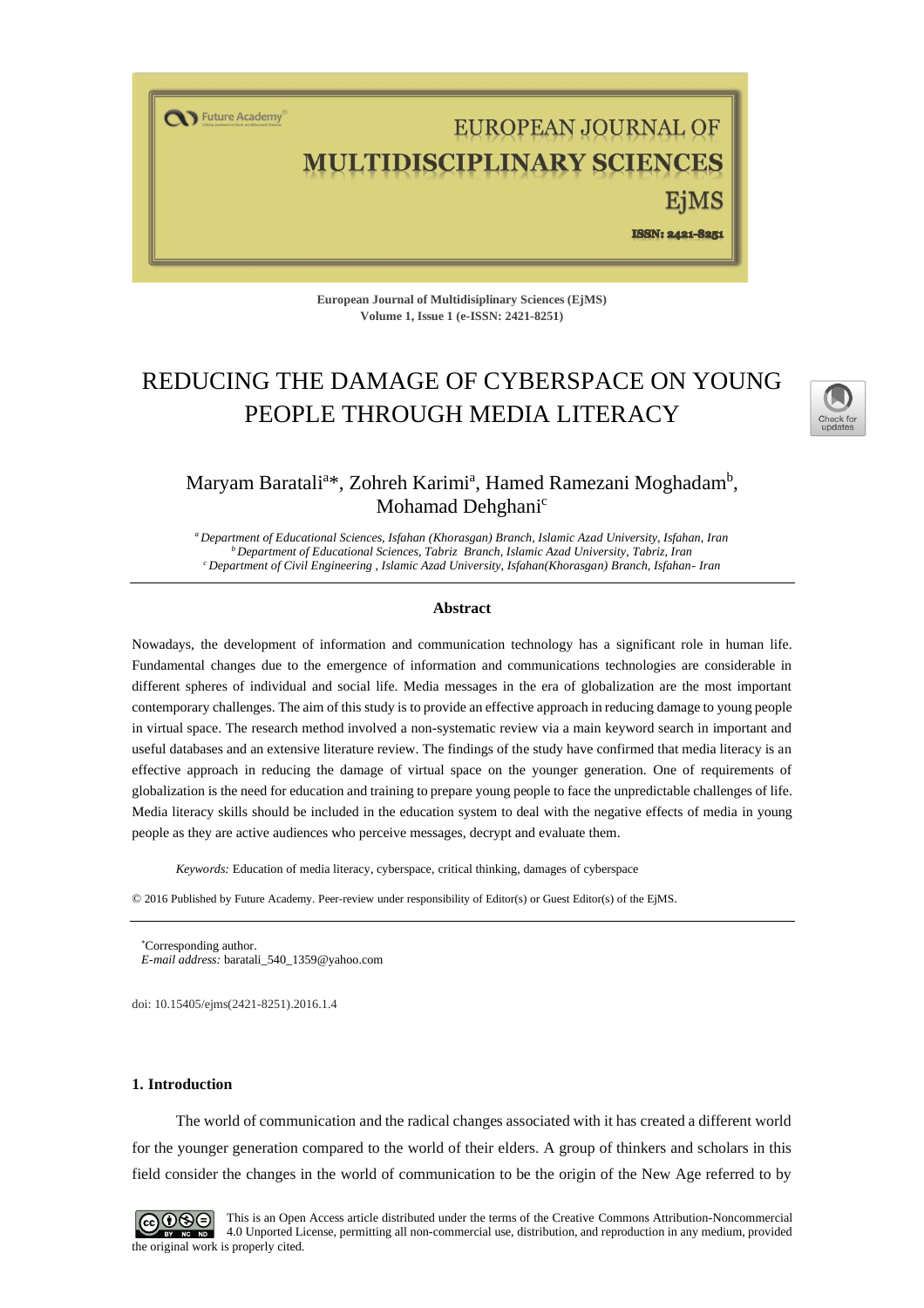T Future Academy

# EUROPEAN JOURNAL OF **LTIDISCIPLINARY SCIENCES**

ISSN: 2421-8251

**European Journal of Multidisiplinary Sciences (EjMS) Volume 1, Issue 1 (e-ISSN: 2421-8251)**

## REDUCING THE DAMAGE OF CYBERSPACE ON YOUNG PEOPLE THROUGH MEDIA LITERACY



### Maryam Baratali<sup>a\*</sup>, Zohreh Karimi<sup>a</sup>, Hamed Ramezani Moghadam<sup>b</sup>, Mohamad Dehghani<sup>c</sup>

*<sup>a</sup>Department of Educational Sciences, Isfahan (Khorasgan) Branch, Islamic Azad University, Isfahan, Iran <sup>b</sup> Department of Educational Sciences, Tabriz Branch, Islamic Azad University, Tabriz, Iran <sup>c</sup>Department of Civil Engineering , Islamic Azad University, Isfahan(Khorasgan) Branch, Isfahan- Iran*

#### **Abstract**

Nowadays, the development of information and communication technology has a significant role in human life. Fundamental changes due to the emergence of information and communications technologies are considerable in different spheres of individual and social life. Media messages in the era of globalization are the most important contemporary challenges. The aim of this study is to provide an effective approach in reducing damage to young people in virtual space. The research method involved a non-systematic review via a main keyword search in important and useful databases and an extensive literature review. The findings of the study have confirmed that media literacy is an effective approach in reducing the damage of virtual space on the younger generation. One of requirements of globalization is the need for education and training to prepare young people to face the unpredictable challenges of life. Media literacy skills should be included in the education system to deal with the negative effects of media in young people as they are active audiences who perceive messages, decrypt and evaluate them.

*Keywords:* Education of media literacy, cyberspace, critical thinking, damages of cyberspace

© 2016 Published by Future Academy. Peer-review under responsibility of Editor(s) or Guest Editor(s) of the EjMS.

doi[: 10.15405/ejms\(2421-8251\).2016.1.4](https://doi.org/10.15405/ejms(2421-8251).2016.1.4)

#### **1. Introduction**

The world of communication and the radical changes associated with it has created a different world for the younger generation compared to the world of their elders. A group of thinkers and scholars in this field consider the changes in the world of communication to be the origin of the New Age referred to by



This is an Open Access article distributed under the terms of the Creative Commons Attribution-Noncommercial 4.0 Unported License, permitting all non-commercial use, distribution, and reproduction in any medium, provided the original work is properly cited.

Corresponding author.

*E-mail address:* [baratali\\_540\\_1359@yahoo.com](mailto:baratali_540_1359@yahoo.com)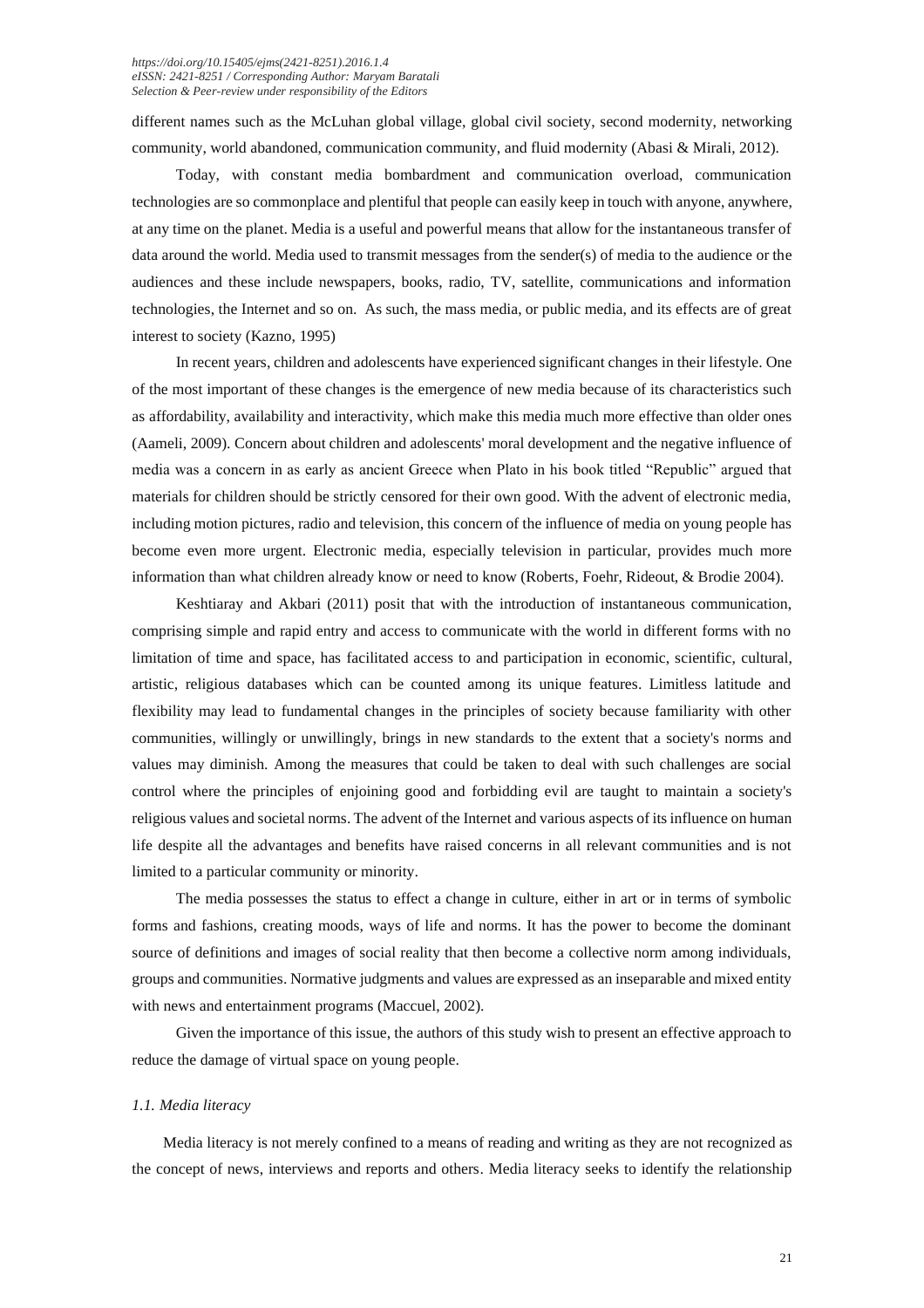different names such as the McLuhan global village, global civil society, second modernity, networking community, world abandoned, communication community, and fluid modernity (Abasi & Mirali, 2012).

Today, with constant media bombardment and communication overload, communication technologies are so commonplace and plentiful that people can easily keep in touch with anyone, anywhere, at any time on the planet. Media is a useful and powerful means that allow for the instantaneous transfer of data around the world. Media used to transmit messages from the sender(s) of media to the audience or the audiences and these include newspapers, books, radio, TV, satellite, communications and information technologies, the Internet and so on. As such, the mass media, or public media, and its effects are of great interest to society (Kazno, 1995)

In recent years, children and adolescents have experienced significant changes in their lifestyle. One of the most important of these changes is the emergence of new media because of its characteristics such as affordability, availability and interactivity, which make this media much more effective than older ones (Aameli, 2009). Concern about children and adolescents' moral development and the negative influence of media was a concern in as early as ancient Greece when Plato in his book titled "Republic" argued that materials for children should be strictly censored for their own good. With the advent of electronic media, including motion pictures, radio and television, this concern of the influence of media on young people has become even more urgent. Electronic media, especially television in particular, provides much more information than what children already know or need to know (Roberts, Foehr, Rideout, & Brodie 2004).

Keshtiaray and Akbari (2011) posit that with the introduction of instantaneous communication, comprising simple and rapid entry and access to communicate with the world in different forms with no limitation of time and space, has facilitated access to and participation in economic, scientific, cultural, artistic, religious databases which can be counted among its unique features. Limitless latitude and flexibility may lead to fundamental changes in the principles of society because familiarity with other communities, willingly or unwillingly, brings in new standards to the extent that a society's norms and values may diminish. Among the measures that could be taken to deal with such challenges are social control where the principles of enjoining good and forbidding evil are taught to maintain a society's religious values and societal norms. The advent of the Internet and various aspects of its influence on human life despite all the advantages and benefits have raised concerns in all relevant communities and is not limited to a particular community or minority.

The media possesses the status to effect a change in culture, either in art or in terms of symbolic forms and fashions, creating moods, ways of life and norms. It has the power to become the dominant source of definitions and images of social reality that then become a collective norm among individuals, groups and communities. Normative judgments and values are expressed as an inseparable and mixed entity with news and entertainment programs (Maccuel, 2002).

Given the importance of this issue, the authors of this study wish to present an effective approach to reduce the damage of virtual space on young people.

#### *1.1. Media literacy*

Media literacy is not merely confined to a means of reading and writing as they are not recognized as the concept of news, interviews and reports and others. Media literacy seeks to identify the relationship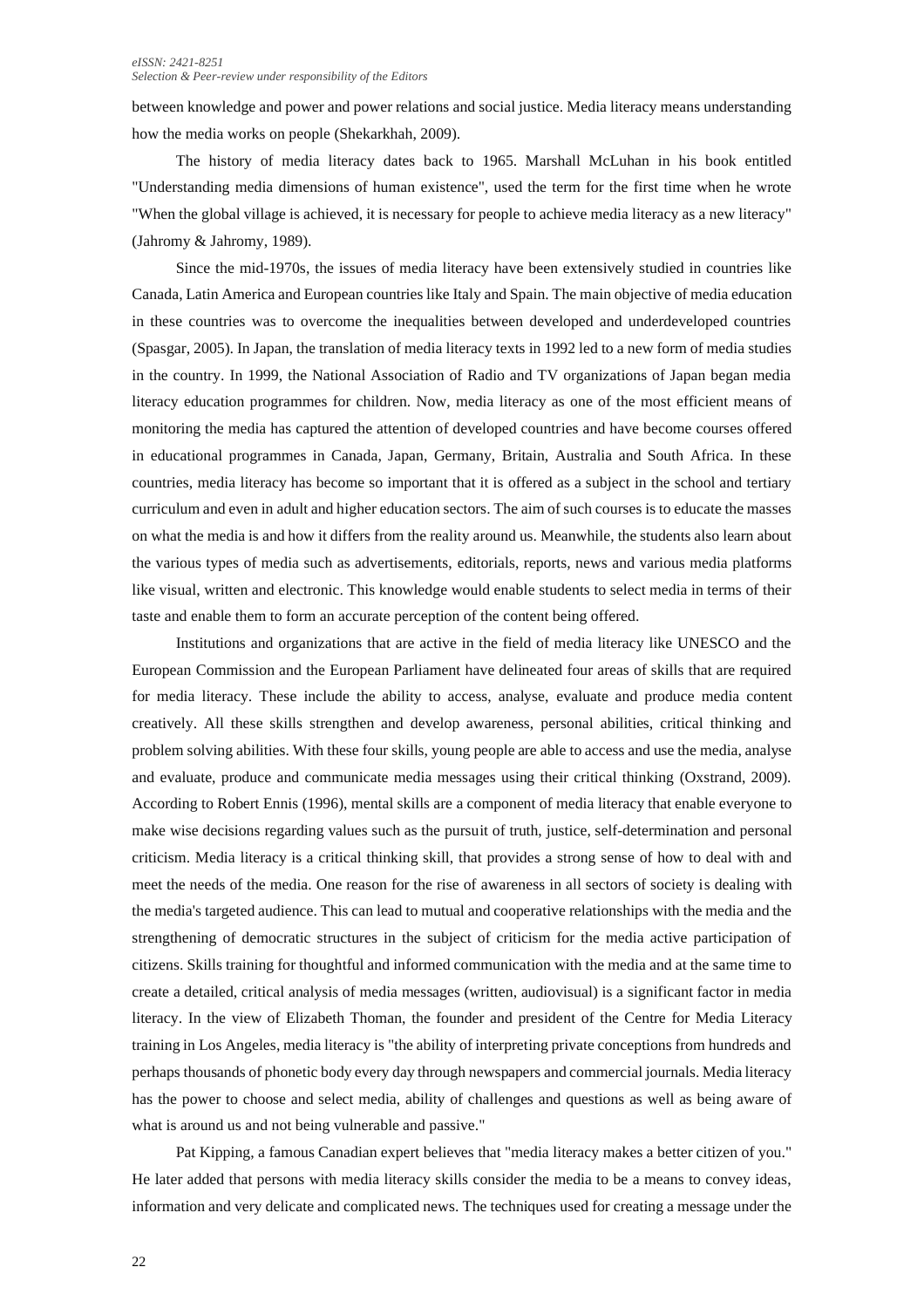#### *eISSN: 2421-8251 Selection & Peer-review under responsibility of the Editors*

between knowledge and power and power relations and social justice. Media literacy means understanding how the media works on people (Shekarkhah, 2009).

The history of media literacy dates back to 1965. Marshall McLuhan in his book entitled "Understanding media dimensions of human existence", used the term for the first time when he wrote "When the global village is achieved, it is necessary for people to achieve media literacy as a new literacy" (Jahromy & Jahromy, 1989).

Since the mid-1970s, the issues of media literacy have been extensively studied in countries like Canada, Latin America and European countries like Italy and Spain. The main objective of media education in these countries was to overcome the inequalities between developed and underdeveloped countries (Spasgar, 2005). In Japan, the translation of media literacy texts in 1992 led to a new form of media studies in the country. In 1999, the National Association of Radio and TV organizations of Japan began media literacy education programmes for children. Now, media literacy as one of the most efficient means of monitoring the media has captured the attention of developed countries and have become courses offered in educational programmes in Canada, Japan, Germany, Britain, Australia and South Africa. In these countries, media literacy has become so important that it is offered as a subject in the school and tertiary curriculum and even in adult and higher education sectors. The aim of such courses is to educate the masses on what the media is and how it differs from the reality around us. Meanwhile, the students also learn about the various types of media such as advertisements, editorials, reports, news and various media platforms like visual, written and electronic. This knowledge would enable students to select media in terms of their taste and enable them to form an accurate perception of the content being offered.

Institutions and organizations that are active in the field of media literacy like UNESCO and the European Commission and the European Parliament have delineated four areas of skills that are required for media literacy. These include the ability to access, analyse, evaluate and produce media content creatively. All these skills strengthen and develop awareness, personal abilities, critical thinking and problem solving abilities. With these four skills, young people are able to access and use the media, analyse and evaluate, produce and communicate media messages using their critical thinking (Oxstrand, 2009). According to Robert Ennis (1996), mental skills are a component of media literacy that enable everyone to make wise decisions regarding values such as the pursuit of truth, justice, self-determination and personal criticism. Media literacy is a critical thinking skill, that provides a strong sense of how to deal with and meet the needs of the media. One reason for the rise of awareness in all sectors of society is dealing with the media's targeted audience. This can lead to mutual and cooperative relationships with the media and the strengthening of democratic structures in the subject of criticism for the media active participation of citizens. Skills training for thoughtful and informed communication with the media and at the same time to create a detailed, critical analysis of media messages (written, audiovisual) is a significant factor in media literacy. In the view of Elizabeth Thoman, the founder and president of the Centre for Media Literacy training in Los Angeles, media literacy is "the ability of interpreting private conceptions from hundreds and perhaps thousands of phonetic body every day through newspapers and commercial journals. Media literacy has the power to choose and select media, ability of challenges and questions as well as being aware of what is around us and not being vulnerable and passive."

Pat Kipping, a famous Canadian expert believes that "media literacy makes a better citizen of you." He later added that persons with media literacy skills consider the media to be a means to convey ideas, information and very delicate and complicated news. The techniques used for creating a message under the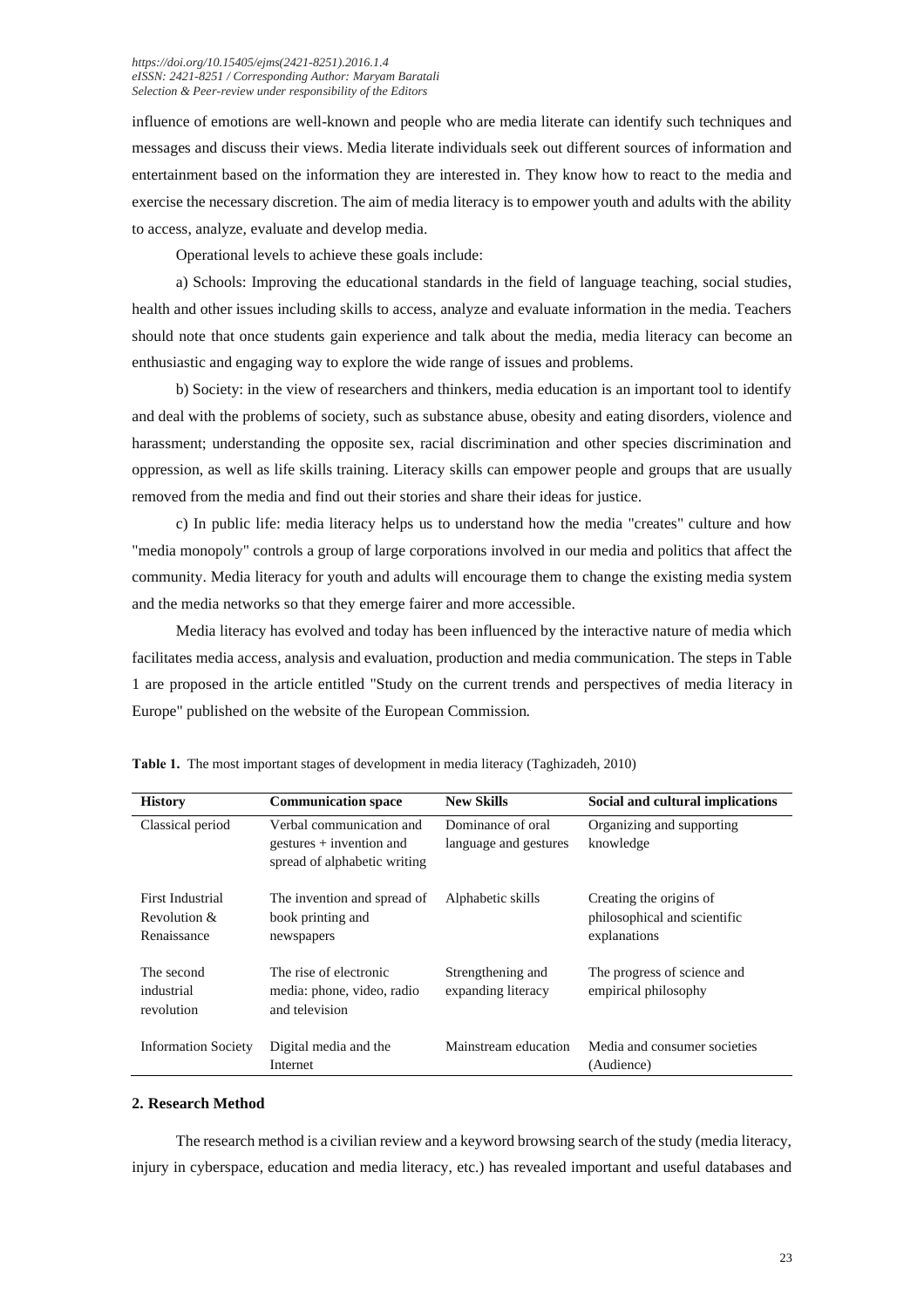influence of emotions are well-known and people who are media literate can identify such techniques and messages and discuss their views. Media literate individuals seek out different sources of information and entertainment based on the information they are interested in. They know how to react to the media and exercise the necessary discretion. The aim of media literacy is to empower youth and adults with the ability to access, analyze, evaluate and develop media.

Operational levels to achieve these goals include:

a) Schools: Improving the educational standards in the field of language teaching, social studies, health and other issues including skills to access, analyze and evaluate information in the media. Teachers should note that once students gain experience and talk about the media, media literacy can become an enthusiastic and engaging way to explore the wide range of issues and problems.

b) Society: in the view of researchers and thinkers, media education is an important tool to identify and deal with the problems of society, such as substance abuse, obesity and eating disorders, violence and harassment; understanding the opposite sex, racial discrimination and other species discrimination and oppression, as well as life skills training. Literacy skills can empower people and groups that are usually removed from the media and find out their stories and share their ideas for justice.

c) In public life: media literacy helps us to understand how the media "creates" culture and how "media monopoly" controls a group of large corporations involved in our media and politics that affect the community. Media literacy for youth and adults will encourage them to change the existing media system and the media networks so that they emerge fairer and more accessible.

Media literacy has evolved and today has been influenced by the interactive nature of media which facilitates media access, analysis and evaluation, production and media communication. The steps in Table 1 are proposed in the article entitled "Study on the current trends and perspectives of media literacy in Europe" published on the website of the European Commission.

| <b>History</b>                                  | <b>Communication space</b>                                                             | <b>New Skills</b>                          | Social and cultural implications                                        |
|-------------------------------------------------|----------------------------------------------------------------------------------------|--------------------------------------------|-------------------------------------------------------------------------|
| Classical period                                | Verbal communication and<br>$gestures + invention$ and<br>spread of alphabetic writing | Dominance of oral<br>language and gestures | Organizing and supporting<br>knowledge                                  |
| First Industrial<br>Revolution &<br>Renaissance | The invention and spread of<br>book printing and<br>newspapers                         | Alphabetic skills                          | Creating the origins of<br>philosophical and scientific<br>explanations |
| The second<br>industrial<br>revolution          | The rise of electronic<br>media: phone, video, radio<br>and television                 | Strengthening and<br>expanding literacy    | The progress of science and<br>empirical philosophy                     |
| <b>Information Society</b>                      | Digital media and the<br>Internet                                                      | Mainstream education                       | Media and consumer societies<br>(Audience)                              |

**Table 1.** The most important stages of development in media literacy (Taghizadeh, 2010)

#### **2. Research Method**

The research method is a civilian review and a keyword browsing search of the study (media literacy, injury in cyberspace, education and media literacy, etc.) has revealed important and useful databases and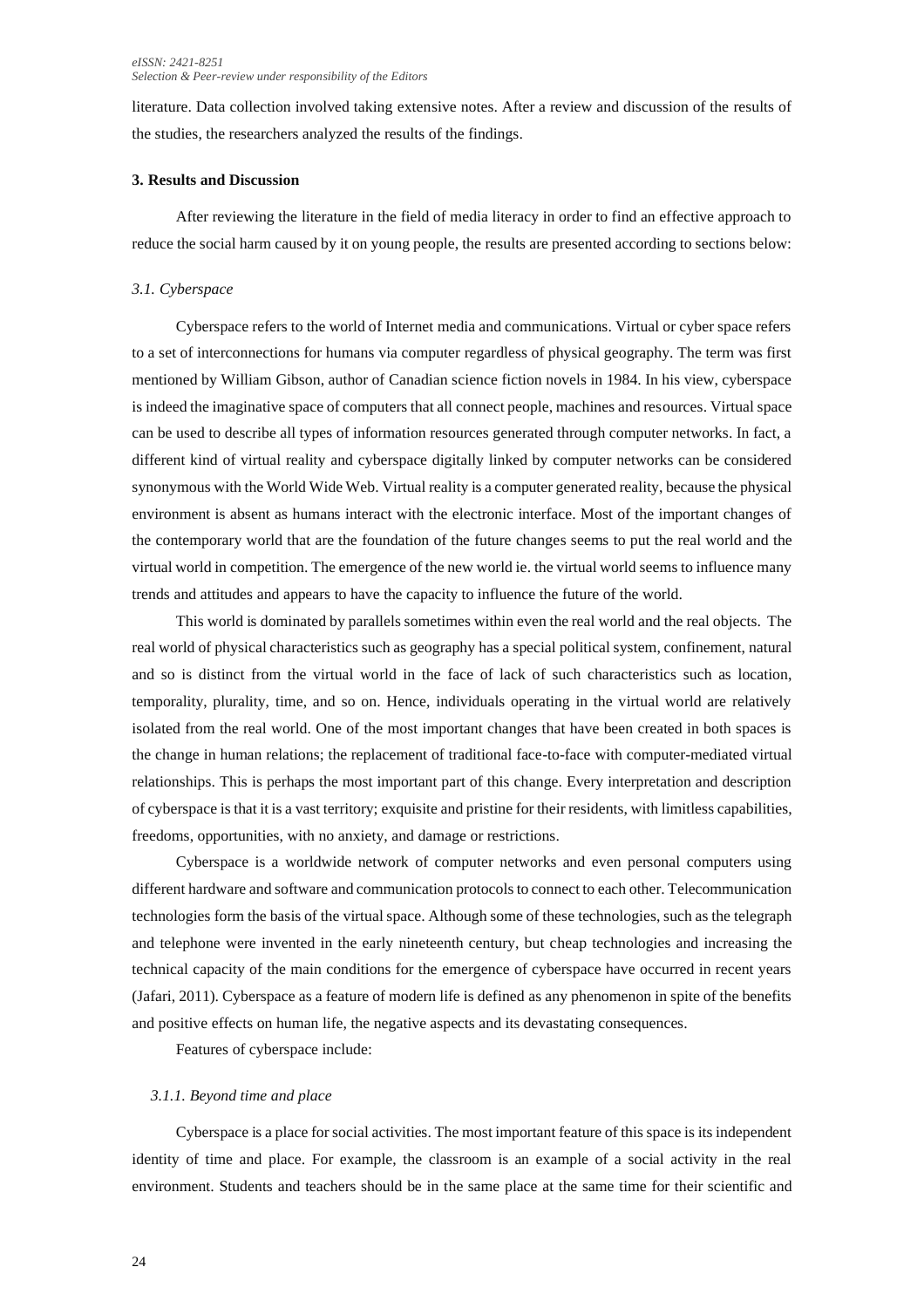literature. Data collection involved taking extensive notes. After a review and discussion of the results of the studies, the researchers analyzed the results of the findings.

#### **3. Results and Discussion**

After reviewing the literature in the field of media literacy in order to find an effective approach to reduce the social harm caused by it on young people, the results are presented according to sections below:

#### *3.1. Cyberspace*

Cyberspace refers to the world of Internet media and communications. Virtual or cyber space refers to a set of interconnections for humans via computer regardless of physical geography. The term was first mentioned by William Gibson, author of Canadian science fiction novels in 1984. In his view, cyberspace is indeed the imaginative space of computers that all connect people, machines and resources. Virtual space can be used to describe all types of information resources generated through computer networks. In fact, a different kind of virtual reality and cyberspace digitally linked by computer networks can be considered synonymous with the World Wide Web. Virtual reality is a computer generated reality, because the physical environment is absent as humans interact with the electronic interface. Most of the important changes of the contemporary world that are the foundation of the future changes seems to put the real world and the virtual world in competition. The emergence of the new world ie. the virtual world seems to influence many trends and attitudes and appears to have the capacity to influence the future of the world.

This world is dominated by parallels sometimes within even the real world and the real objects. The real world of physical characteristics such as geography has a special political system, confinement, natural and so is distinct from the virtual world in the face of lack of such characteristics such as location, temporality, plurality, time, and so on. Hence, individuals operating in the virtual world are relatively isolated from the real world. One of the most important changes that have been created in both spaces is the change in human relations; the replacement of traditional face-to-face with computer-mediated virtual relationships. This is perhaps the most important part of this change. Every interpretation and description of cyberspace is that it is a vast territory; exquisite and pristine for their residents, with limitless capabilities, freedoms, opportunities, with no anxiety, and damage or restrictions.

Cyberspace is a worldwide network of computer networks and even personal computers using different hardware and software and communication protocols to connect to each other. Telecommunication technologies form the basis of the virtual space. Although some of these technologies, such as the telegraph and telephone were invented in the early nineteenth century, but cheap technologies and increasing the technical capacity of the main conditions for the emergence of cyberspace have occurred in recent years (Jafari, 2011). Cyberspace as a feature of modern life is defined as any phenomenon in spite of the benefits and positive effects on human life, the negative aspects and its devastating consequences.

Features of cyberspace include:

#### *3.1.1. Beyond time and place*

Cyberspace is a place for social activities. The most important feature of this space is its independent identity of time and place. For example, the classroom is an example of a social activity in the real environment. Students and teachers should be in the same place at the same time for their scientific and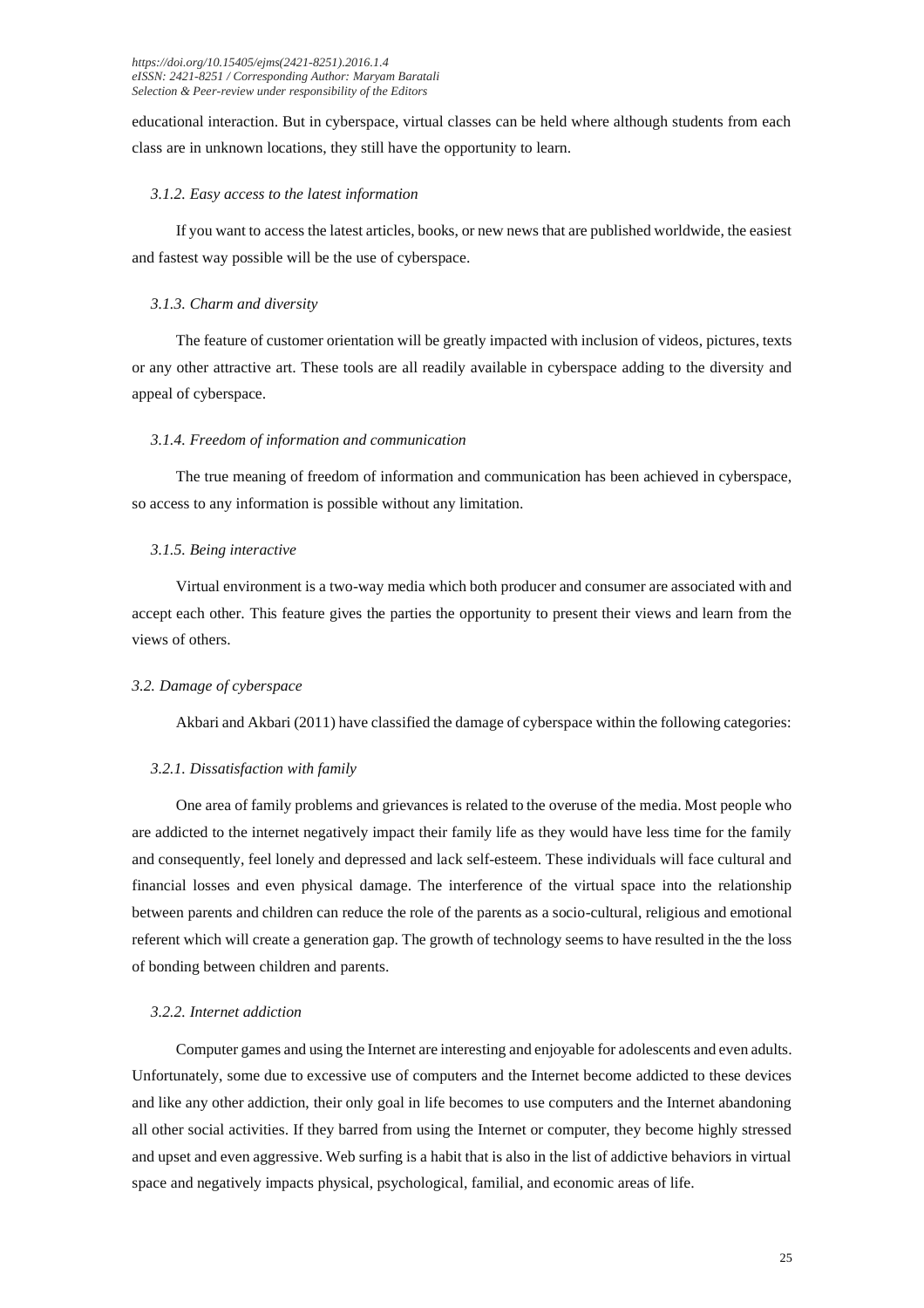educational interaction. But in cyberspace, virtual classes can be held where although students from each class are in unknown locations, they still have the opportunity to learn.

#### *3.1.2. Easy access to the latest information*

If you want to access the latest articles, books, or new news that are published worldwide, the easiest and fastest way possible will be the use of cyberspace.

#### *3.1.3. Charm and diversity*

The feature of customer orientation will be greatly impacted with inclusion of videos, pictures, texts or any other attractive art. These tools are all readily available in cyberspace adding to the diversity and appeal of cyberspace.

#### *3.1.4. Freedom of information and communication*

The true meaning of freedom of information and communication has been achieved in cyberspace, so access to any information is possible without any limitation.

#### *3.1.5. Being interactive*

Virtual environment is a two-way media which both producer and consumer are associated with and accept each other. This feature gives the parties the opportunity to present their views and learn from the views of others.

#### *3.2. Damage of cyberspace*

Akbari and Akbari (2011) have classified the damage of cyberspace within the following categories:

#### *3.2.1. Dissatisfaction with family*

One area of family problems and grievances is related to the overuse of the media. Most people who are addicted to the internet negatively impact their family life as they would have less time for the family and consequently, feel lonely and depressed and lack self-esteem. These individuals will face cultural and financial losses and even physical damage. The interference of the virtual space into the relationship between parents and children can reduce the role of the parents as a socio-cultural, religious and emotional referent which will create a generation gap. The growth of technology seems to have resulted in the the loss of bonding between children and parents.

#### *3.2.2. Internet addiction*

Computer games and using the Internet are interesting and enjoyable for adolescents and even adults. Unfortunately, some due to excessive use of computers and the Internet become addicted to these devices and like any other addiction, their only goal in life becomes to use computers and the Internet abandoning all other social activities. If they barred from using the Internet or computer, they become highly stressed and upset and even aggressive. Web surfing is a habit that is also in the list of addictive behaviors in virtual space and negatively impacts physical, psychological, familial, and economic areas of life.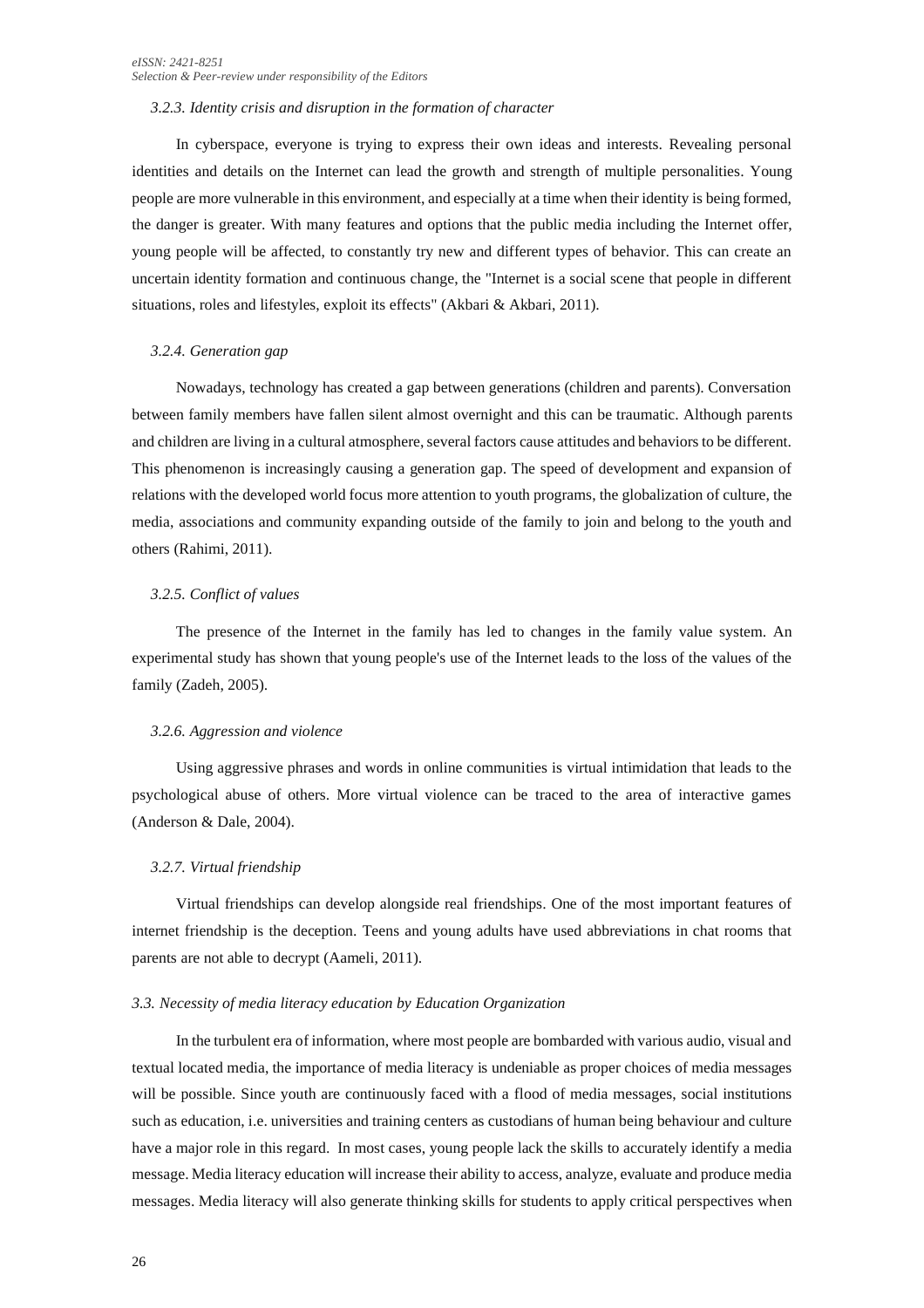#### *3.2.3. Identity crisis and disruption in the formation of character*

In cyberspace, everyone is trying to express their own ideas and interests. Revealing personal identities and details on the Internet can lead the growth and strength of multiple personalities. Young people are more vulnerable in this environment, and especially at a time when their identity is being formed, the danger is greater. With many features and options that the public media including the Internet offer, young people will be affected, to constantly try new and different types of behavior. This can create an uncertain identity formation and continuous change, the "Internet is a social scene that people in different situations, roles and lifestyles, exploit its effects" (Akbari & Akbari, 2011).

#### *3.2.4. Generation gap*

Nowadays, technology has created a gap between generations (children and parents). Conversation between family members have fallen silent almost overnight and this can be traumatic. Although parents and children are living in a cultural atmosphere, several factors cause attitudes and behaviors to be different. This phenomenon is increasingly causing a generation gap. The speed of development and expansion of relations with the developed world focus more attention to youth programs, the globalization of culture, the media, associations and community expanding outside of the family to join and belong to the youth and others (Rahimi, 2011).

#### *3.2.5. Conflict of values*

The presence of the Internet in the family has led to changes in the family value system. An experimental study has shown that young people's use of the Internet leads to the loss of the values of the family (Zadeh, 2005).

#### *3.2.6. Aggression and violence*

Using aggressive phrases and words in online communities is virtual intimidation that leads to the psychological abuse of others. More virtual violence can be traced to the area of interactive games (Anderson & Dale, 2004).

#### *3.2.7. Virtual friendship*

Virtual friendships can develop alongside real friendships. One of the most important features of internet friendship is the deception. Teens and young adults have used abbreviations in chat rooms that parents are not able to decrypt (Aameli, 2011).

#### *3.3. Necessity of media literacy education by Education Organization*

In the turbulent era of information, where most people are bombarded with various audio, visual and textual located media, the importance of media literacy is undeniable as proper choices of media messages will be possible. Since youth are continuously faced with a flood of media messages, social institutions such as education, i.e. universities and training centers as custodians of human being behaviour and culture have a major role in this regard. In most cases, young people lack the skills to accurately identify a media message. Media literacy education will increase their ability to access, analyze, evaluate and produce media messages. Media literacy will also generate thinking skills for students to apply critical perspectives when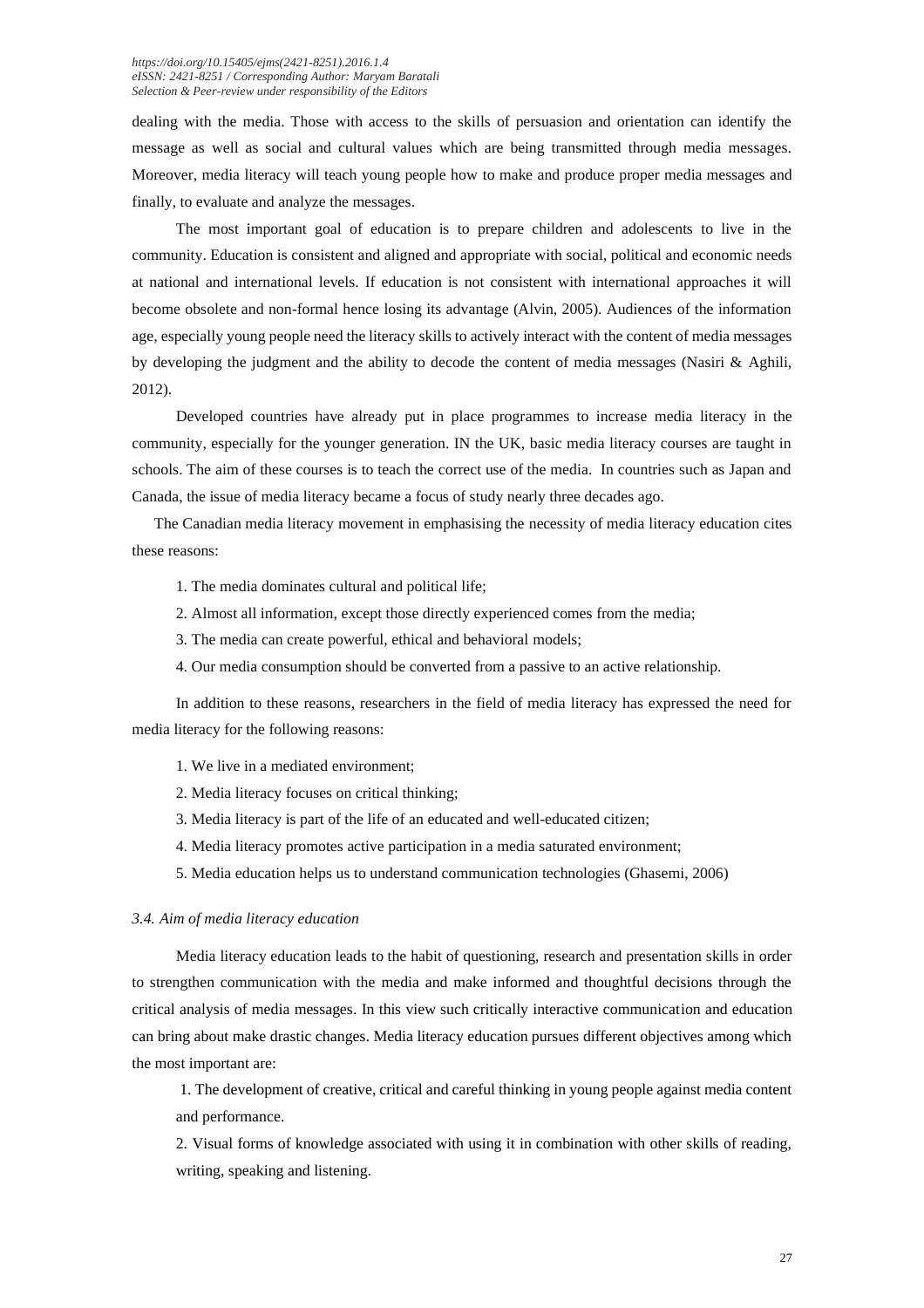dealing with the media. Those with access to the skills of persuasion and orientation can identify the message as well as social and cultural values which are being transmitted through media messages. Moreover, media literacy will teach young people how to make and produce proper media messages and finally, to evaluate and analyze the messages.

The most important goal of education is to prepare children and adolescents to live in the community. Education is consistent and aligned and appropriate with social, political and economic needs at national and international levels. If education is not consistent with international approaches it will become obsolete and non-formal hence losing its advantage (Alvin, 2005). Audiences of the information age, especially young people need the literacy skills to actively interact with the content of media messages by developing the judgment and the ability to decode the content of media messages (Nasiri & Aghili, 2012).

Developed countries have already put in place programmes to increase media literacy in the community, especially for the younger generation. IN the UK, basic media literacy courses are taught in schools. The aim of these courses is to teach the correct use of the media. In countries such as Japan and Canada, the issue of media literacy became a focus of study nearly three decades ago.

The Canadian media literacy movement in emphasising the necessity of media literacy education cites these reasons:

- 1. The media dominates cultural and political life;
- 2. Almost all information, except those directly experienced comes from the media;
- 3. The media can create powerful, ethical and behavioral models;
- 4. Our media consumption should be converted from a passive to an active relationship.

In addition to these reasons, researchers in the field of media literacy has expressed the need for media literacy for the following reasons:

- 1. We live in a mediated environment;
- 2. Media literacy focuses on critical thinking;
- 3. Media literacy is part of the life of an educated and well-educated citizen;
- 4. Media literacy promotes active participation in a media saturated environment;
- 5. Media education helps us to understand communication technologies (Ghasemi, 2006)

#### *3.4. Aim of media literacy education*

Media literacy education leads to the habit of questioning, research and presentation skills in order to strengthen communication with the media and make informed and thoughtful decisions through the critical analysis of media messages. In this view such critically interactive communication and education can bring about make drastic changes. Media literacy education pursues different objectives among which the most important are:

1. The development of creative, critical and careful thinking in young people against media content and performance.

2. Visual forms of knowledge associated with using it in combination with other skills of reading, writing, speaking and listening.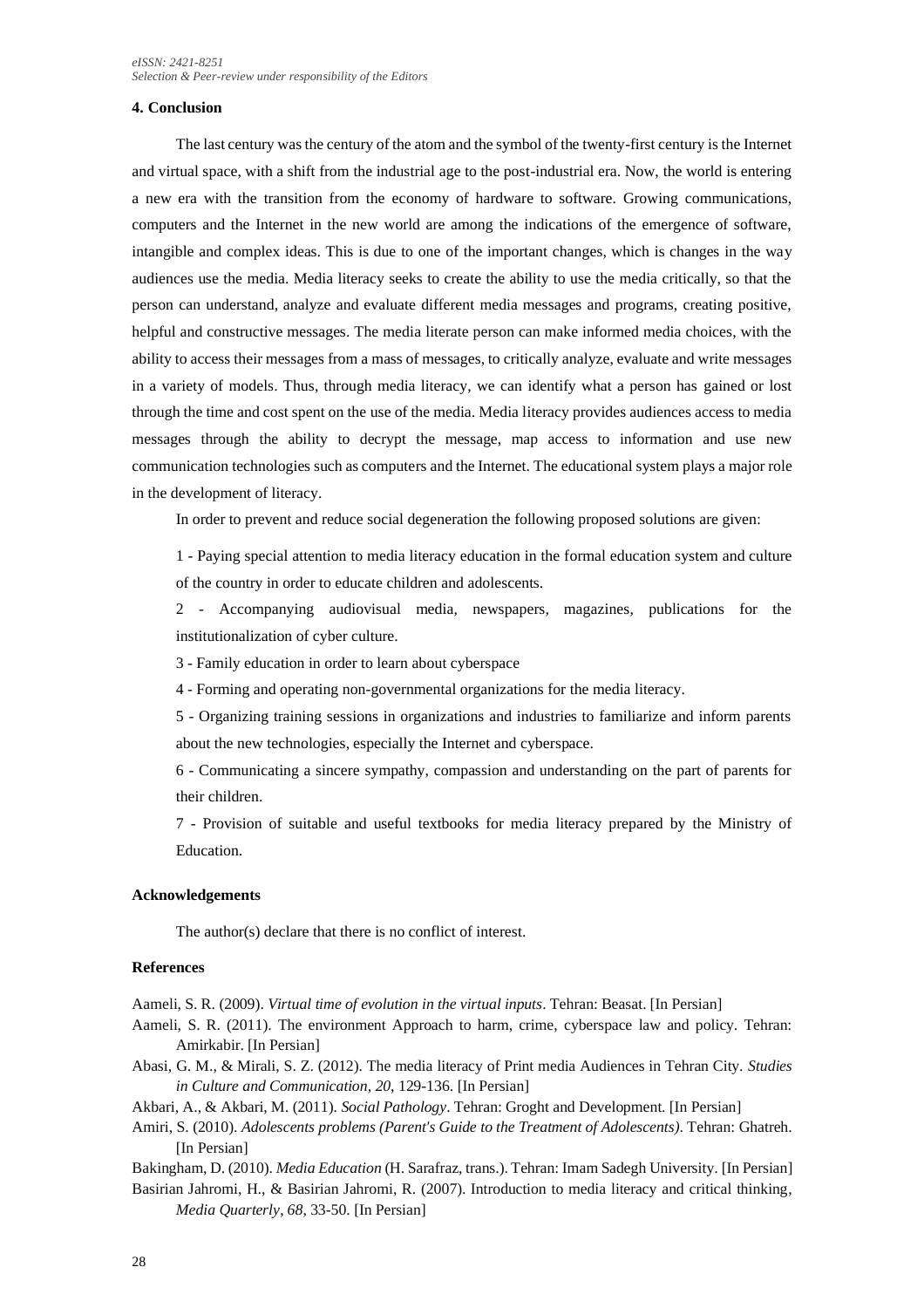#### **4. Conclusion**

The last century was the century of the atom and the symbol of the twenty-first century is the Internet and virtual space, with a shift from the industrial age to the post-industrial era. Now, the world is entering a new era with the transition from the economy of hardware to software. Growing communications, computers and the Internet in the new world are among the indications of the emergence of software, intangible and complex ideas. This is due to one of the important changes, which is changes in the way audiences use the media. Media literacy seeks to create the ability to use the media critically, so that the person can understand, analyze and evaluate different media messages and programs, creating positive, helpful and constructive messages. The media literate person can make informed media choices, with the ability to access their messages from a mass of messages, to critically analyze, evaluate and write messages in a variety of models. Thus, through media literacy, we can identify what a person has gained or lost through the time and cost spent on the use of the media. Media literacy provides audiences access to media messages through the ability to decrypt the message, map access to information and use new communication technologies such as computers and the Internet. The educational system plays a major role in the development of literacy.

In order to prevent and reduce social degeneration the following proposed solutions are given:

1 - Paying special attention to media literacy education in the formal education system and culture of the country in order to educate children and adolescents.

2 - Accompanying audiovisual media, newspapers, magazines, publications for the institutionalization of cyber culture.

3 - Family education in order to learn about cyberspace

4 - Forming and operating non-governmental organizations for the media literacy.

5 - Organizing training sessions in organizations and industries to familiarize and inform parents about the new technologies, especially the Internet and cyberspace.

6 - Communicating a sincere sympathy, compassion and understanding on the part of parents for their children.

7 - Provision of suitable and useful textbooks for media literacy prepared by the Ministry of Education.

#### **Acknowledgements**

The author(s) declare that there is no conflict of interest.

#### **References**

Aameli, S. R. (2009). *Virtual time of evolution in the virtual inputs*. Tehran: Beasat. [In Persian]

Aameli, S. R. (2011). The environment Approach to harm, crime, cyberspace law and policy. Tehran: Amirkabir. [In Persian]

Abasi, G. M., & Mirali, S. Z. (2012). The media literacy of Print media Audiences in Tehran City. *Studies in Culture and Communication*, *20*, 129-136. [In Persian]

Akbari, A., & Akbari, M. (2011). *Social Pathology*. Tehran: Groght and Development. [In Persian]

Amiri, S. (2010). *Adolescents problems (Parent's Guide to the Treatment of Adolescents)*. Tehran: Ghatreh. [In Persian]

Bakingham, D. (2010). *Media Education* (H. Sarafraz, trans.). Tehran: Imam Sadegh University. [In Persian] Basirian Jahromi, H., & Basirian Jahromi, R. (2007). Introduction to media literacy and critical thinking*,* 

*Media Quarterly*, *68*, 33-50. [In Persian]